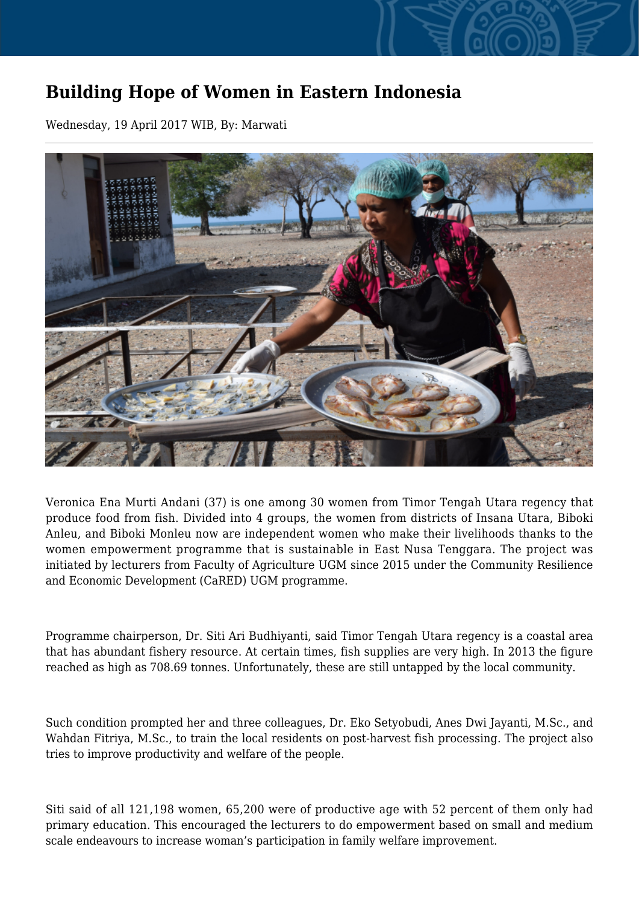## **Building Hope of Women in Eastern Indonesia**

Wednesday, 19 April 2017 WIB, By: Marwati



Veronica Ena Murti Andani (37) is one among 30 women from Timor Tengah Utara regency that produce food from fish. Divided into 4 groups, the women from districts of Insana Utara, Biboki Anleu, and Biboki Monleu now are independent women who make their livelihoods thanks to the women empowerment programme that is sustainable in East Nusa Tenggara. The project was initiated by lecturers from Faculty of Agriculture UGM since 2015 under the Community Resilience and Economic Development (CaRED) UGM programme.

Programme chairperson, Dr. Siti Ari Budhiyanti, said Timor Tengah Utara regency is a coastal area that has abundant fishery resource. At certain times, fish supplies are very high. In 2013 the figure reached as high as 708.69 tonnes. Unfortunately, these are still untapped by the local community.

Such condition prompted her and three colleagues, Dr. Eko Setyobudi, Anes Dwi Jayanti, M.Sc., and Wahdan Fitriya, M.Sc., to train the local residents on post-harvest fish processing. The project also tries to improve productivity and welfare of the people.

Siti said of all 121,198 women, 65,200 were of productive age with 52 percent of them only had primary education. This encouraged the lecturers to do empowerment based on small and medium scale endeavours to increase woman's participation in family welfare improvement.